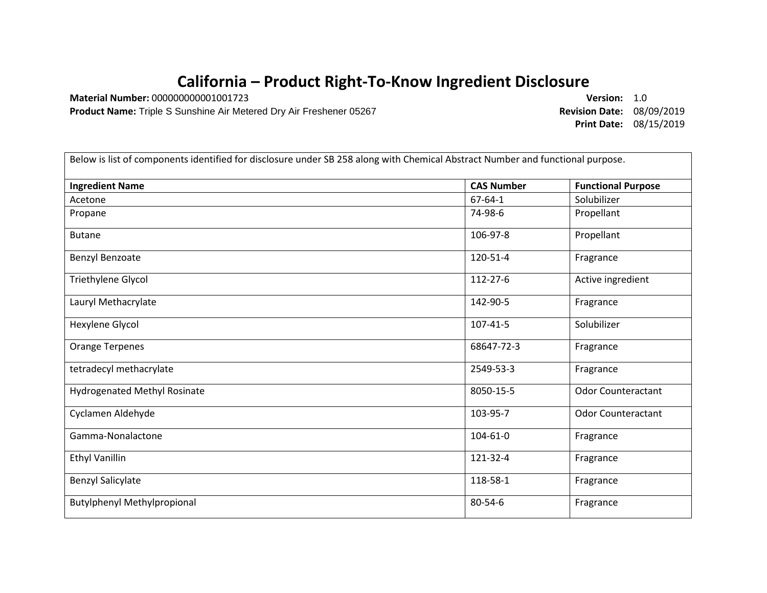## **California – Product Right-To-Know Ingredient Disclosure**

**Material Number:** 000000000001001723 **Version:** 1.0

**Product Name:** Triple S Sunshine Air Metered Dry Air Freshener 05267 **Revision Date:** 08/09/2019

**Print Date:** 08/15/2019

| Below is list of components identified for disclosure under SB 258 along with Chemical Abstract Number and functional purpose. |                   |                           |  |
|--------------------------------------------------------------------------------------------------------------------------------|-------------------|---------------------------|--|
| <b>Ingredient Name</b>                                                                                                         | <b>CAS Number</b> | <b>Functional Purpose</b> |  |
| Acetone                                                                                                                        | $67 - 64 - 1$     | Solubilizer               |  |
| Propane                                                                                                                        | 74-98-6           | Propellant                |  |
| <b>Butane</b>                                                                                                                  | 106-97-8          | Propellant                |  |
| Benzyl Benzoate                                                                                                                | 120-51-4          | Fragrance                 |  |
| Triethylene Glycol                                                                                                             | 112-27-6          | Active ingredient         |  |
| Lauryl Methacrylate                                                                                                            | 142-90-5          | Fragrance                 |  |
| Hexylene Glycol                                                                                                                | 107-41-5          | Solubilizer               |  |
| <b>Orange Terpenes</b>                                                                                                         | 68647-72-3        | Fragrance                 |  |
| tetradecyl methacrylate                                                                                                        | 2549-53-3         | Fragrance                 |  |
| <b>Hydrogenated Methyl Rosinate</b>                                                                                            | 8050-15-5         | <b>Odor Counteractant</b> |  |
| Cyclamen Aldehyde                                                                                                              | 103-95-7          | <b>Odor Counteractant</b> |  |
| Gamma-Nonalactone                                                                                                              | 104-61-0          | Fragrance                 |  |
| <b>Ethyl Vanillin</b>                                                                                                          | 121-32-4          | Fragrance                 |  |
| <b>Benzyl Salicylate</b>                                                                                                       | 118-58-1          | Fragrance                 |  |
| <b>Butylphenyl Methylpropional</b>                                                                                             | 80-54-6           | Fragrance                 |  |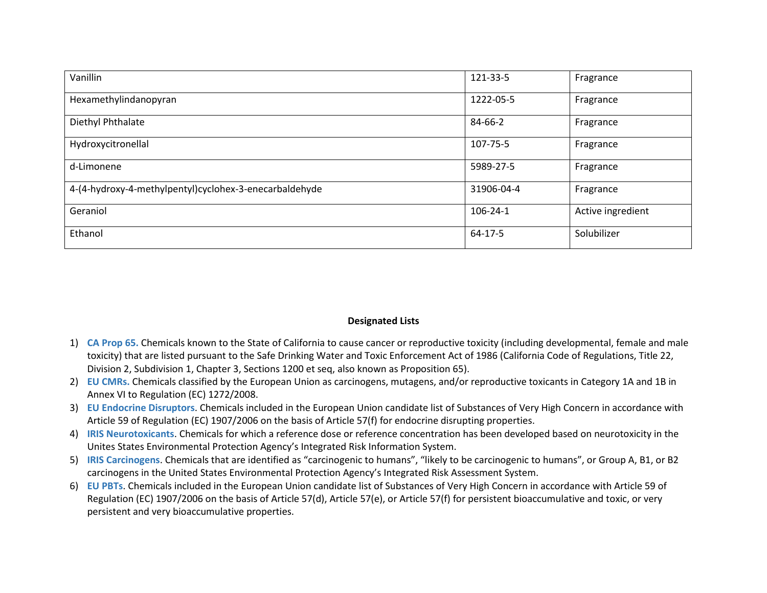| Vanillin                                               | 121-33-5   | Fragrance         |
|--------------------------------------------------------|------------|-------------------|
| Hexamethylindanopyran                                  | 1222-05-5  | Fragrance         |
| Diethyl Phthalate                                      | 84-66-2    | Fragrance         |
| Hydroxycitronellal                                     | 107-75-5   | Fragrance         |
| d-Limonene                                             | 5989-27-5  | Fragrance         |
| 4-(4-hydroxy-4-methylpentyl)cyclohex-3-enecarbaldehyde | 31906-04-4 | Fragrance         |
| Geraniol                                               | 106-24-1   | Active ingredient |
| Ethanol                                                | 64-17-5    | Solubilizer       |

## **Designated Lists**

- 1) **CA Prop 65.** Chemicals known to the State of California to cause cancer or reproductive toxicity (including developmental, female and male toxicity) that are listed pursuant to the Safe Drinking Water and Toxic Enforcement Act of 1986 (California Code of Regulations, Title 22, Division 2, Subdivision 1, Chapter 3, Sections 1200 et seq, also known as Proposition 65).
- 2) **EU CMRs.** Chemicals classified by the European Union as carcinogens, mutagens, and/or reproductive toxicants in Category 1A and 1B in Annex VI to Regulation (EC) 1272/2008.
- 3) **EU Endocrine Disruptors**. Chemicals included in the European Union candidate list of Substances of Very High Concern in accordance with Article 59 of Regulation (EC) 1907/2006 on the basis of Article 57(f) for endocrine disrupting properties.
- 4) **IRIS Neurotoxicants**. Chemicals for which a reference dose or reference concentration has been developed based on neurotoxicity in the Unites States Environmental Protection Agency's Integrated Risk Information System.
- 5) **IRIS Carcinogens**. Chemicals that are identified as "carcinogenic to humans", "likely to be carcinogenic to humans", or Group A, B1, or B2 carcinogens in the United States Environmental Protection Agency's Integrated Risk Assessment System.
- 6) **EU PBTs**. Chemicals included in the European Union candidate list of Substances of Very High Concern in accordance with Article 59 of Regulation (EC) 1907/2006 on the basis of Article 57(d), Article 57(e), or Article 57(f) for persistent bioaccumulative and toxic, or very persistent and very bioaccumulative properties.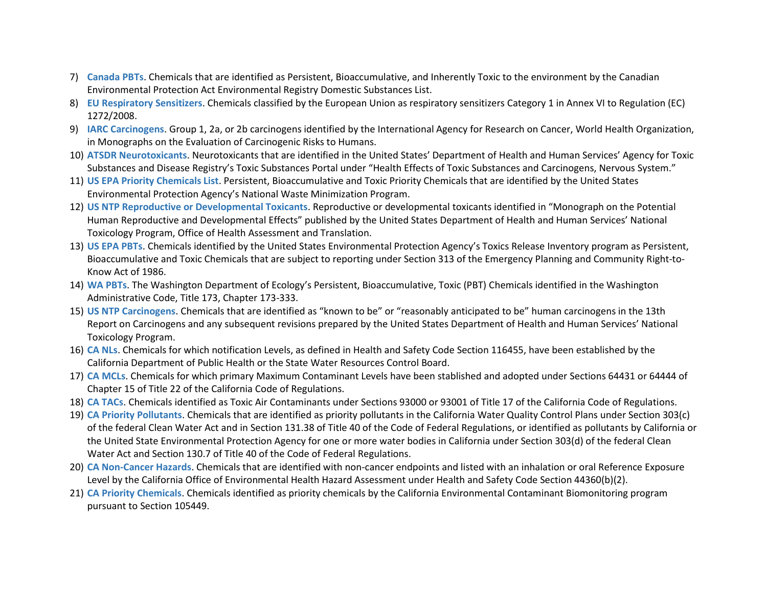- 7) **Canada PBTs**. Chemicals that are identified as Persistent, Bioaccumulative, and Inherently Toxic to the environment by the Canadian Environmental Protection Act Environmental Registry Domestic Substances List.
- 8) **EU Respiratory Sensitizers**. Chemicals classified by the European Union as respiratory sensitizers Category 1 in Annex VI to Regulation (EC) 1272/2008.
- 9) **IARC Carcinogens**. Group 1, 2a, or 2b carcinogens identified by the International Agency for Research on Cancer, World Health Organization, in Monographs on the Evaluation of Carcinogenic Risks to Humans.
- 10) **ATSDR Neurotoxicants**. Neurotoxicants that are identified in the United States' Department of Health and Human Services' Agency for Toxic Substances and Disease Registry's Toxic Substances Portal under "Health Effects of Toxic Substances and Carcinogens, Nervous System."
- 11) **US EPA Priority Chemicals List**. Persistent, Bioaccumulative and Toxic Priority Chemicals that are identified by the United States Environmental Protection Agency's National Waste Minimization Program.
- 12) **US NTP Reproductive or Developmental Toxicants**. Reproductive or developmental toxicants identified in "Monograph on the Potential Human Reproductive and Developmental Effects" published by the United States Department of Health and Human Services' National Toxicology Program, Office of Health Assessment and Translation.
- 13) **US EPA PBTs**. Chemicals identified by the United States Environmental Protection Agency's Toxics Release Inventory program as Persistent, Bioaccumulative and Toxic Chemicals that are subject to reporting under Section 313 of the Emergency Planning and Community Right-to-Know Act of 1986.
- 14) **WA PBTs**. The Washington Department of Ecology's Persistent, Bioaccumulative, Toxic (PBT) Chemicals identified in the Washington Administrative Code, Title 173, Chapter 173-333.
- 15) **US NTP Carcinogens**. Chemicals that are identified as "known to be" or "reasonably anticipated to be" human carcinogens in the 13th Report on Carcinogens and any subsequent revisions prepared by the United States Department of Health and Human Services' National Toxicology Program.
- 16) **CA NLs**. Chemicals for which notification Levels, as defined in Health and Safety Code Section 116455, have been established by the California Department of Public Health or the State Water Resources Control Board.
- 17) **CA MCLs**. Chemicals for which primary Maximum Contaminant Levels have been stablished and adopted under Sections 64431 or 64444 of Chapter 15 of Title 22 of the California Code of Regulations.
- 18) **CA TACs**. Chemicals identified as Toxic Air Contaminants under Sections 93000 or 93001 of Title 17 of the California Code of Regulations.
- 19) **CA Priority Pollutants**. Chemicals that are identified as priority pollutants in the California Water Quality Control Plans under Section 303(c) of the federal Clean Water Act and in Section 131.38 of Title 40 of the Code of Federal Regulations, or identified as pollutants by California or the United State Environmental Protection Agency for one or more water bodies in California under Section 303(d) of the federal Clean Water Act and Section 130.7 of Title 40 of the Code of Federal Regulations.
- 20) **CA Non-Cancer Hazards**. Chemicals that are identified with non-cancer endpoints and listed with an inhalation or oral Reference Exposure Level by the California Office of Environmental Health Hazard Assessment under Health and Safety Code Section 44360(b)(2).
- 21) **CA Priority Chemicals**. Chemicals identified as priority chemicals by the California Environmental Contaminant Biomonitoring program pursuant to Section 105449.